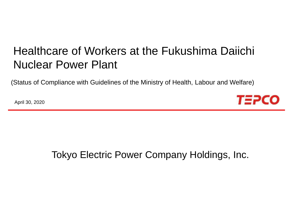# Healthcare of Workers at the Fukushima Daiichi Nuclear Power Plant

(Status of Compliance with Guidelines of the Ministry of Health, Labour and Welfare)

April 30, 2020



## Tokyo Electric Power Company Holdings, Inc.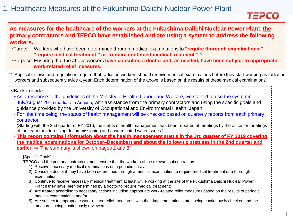

### **As measures for the healthcare of the workers at the Fukushima Daiichi Nuclear Power Plant, the primary contractors and TEPCO have established and are using a system to address the following workers.**

- ・Target: Workers who have been determined through medical examinations to **"require thorough examinations," "require medical treatment," or "require continued medical treatment."** \*1
- ・Purpose: Ensuring that the above workers **have consulted a doctor and, as needed, have been subject to appropriate work-related relief measures.**
- \*1 Applicable laws and regulations require that radiation workers should receive medical examinations before they start working as radiation workers and subsequently twice a year. Each determination of the above is based on the results of these medical examinations.

#### <Background>

- As a response to the guidelines of the Ministry of Health, Labour and Welfare, we started to use the systemin July/August 2016 (partially in August), with assistance from the primary contractors and using the specific goals and guidance provided by the University of Occupational and Environmental Health, Japan.
- For the time being, the status of health management will be checked based on quarterly reports from each primary contractor.

(Starting with the 2nd quarter of FY 2016, the status of health management has been reported at meetings by the office for meetings of the team for addressing decommissioning and contaminated water issues.)

• **This report contains information about the health management status in the 3rd quarter of FY 2019 covering the medical examinations for October–December) and about the follow-up statuses in the 2nd quarter and earlier.** ⇒ The summary is shown on pages 2 and 3.

#### [Specific Goals]

TEPCO and the primary contractors must ensure that the workers of the relevant subcontractors:

- 1) Receive necessary medical examinations on a periodic basis;
- 2) Consult a doctor if they have been determined through a medical examination to require medical treatment or a thorough examination;
- 3) Continue to receive necessary medical treatment at least while working at the site of the Fukushima Daiichi Nuclear Power Plant if they have been determined by a doctor to require medical treatment;
- 4) Are treated according to necessary actions including appropriate work-related relief measures based on the results of periodic medical examinations; and/or
- 5) Are subject to appropriate work-related relief measures, with their implementation status being continuously checked and the measures being continuously reviewed.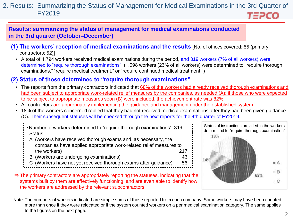#### 2. Results: Summarizing the Status of Management for Medical Examinations in the 3rd Quarter of FY2019 *T≣PCO*

**Results: summarizing the status of management for medical examinations conducted in the 3rd quarter (October–December)**

- **(1) The workers' reception of medical examinations and the results** [No. of offices covered: 55 (primary contractors: 52)]
	- A total of 4,794 workers received medical examinations during the period, and 319 workers (7% of all workers) were determined to "require thorough examinations". (1,098 workers (23% of all workers) were determined to "require thorough examinations," "require medical treatment," or "require continued medical treatment.")

## **(2) Status of those determined to "require thorough examinations"**

- The reports from the primary contractors indicated that 68% of the workers had already received thorough examinations and had been subject to appropriate work-related relief measures by the companies, as needed (A); if those who were expected to be subject to appropriate measures soon (B) were included, the achievement rate was 82%.
- All contractors are appropriately implementing the guidance and management under the established system.
- 18% of the workers concerned replied that they had not received medical examinations after they had been given guidance (C). Their subsequent statuses will be checked through the next reports for the 4th quarter of FY2019.

・Number of workers determined to "require thorough examinations": 319 **Status** 

- A (workers have received thorough exams and, as necessary, the companies have applied appropriate work-related relief measures to the workers) 217
- B (Workers are undergoing examinations) 46
- C (Workers have not yet received thorough exams after guidance) 56



- ⇒ The primary contractors are appropriately reporting the statuses, indicating that the systems built by them are effectively functioning, and are even able to identify how the workers are addressed by the relevant subcontractors.
- Note: The numbers of workers indicated are simple sums of those reported from each company. Some workers may have been counted more than once if they were relocated or if the system counted workers on a per medical examination category. The same applies to the figures on the next page.